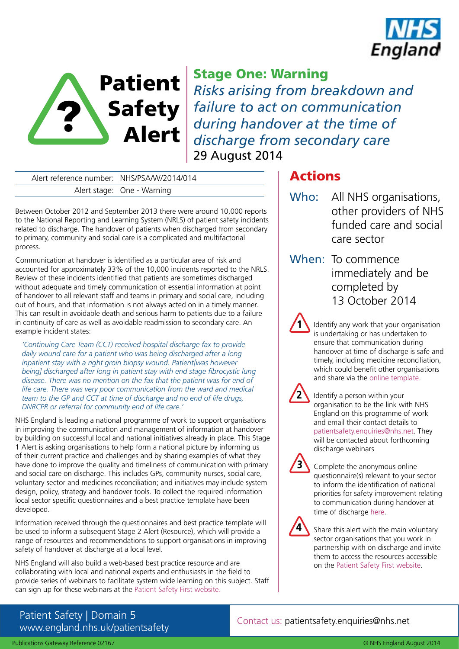



# Stage One: Warning

*Risks arising from breakdown and failure to act on communication during handover at the time of discharge from secondary care* 29 August 2014

Alert reference number: NHS/PSA/W/2014/014 Alert stage: One - Warning

Between October 2012 and September 2013 there were around 10,000 reports to the National Reporting and Learning System (NRLS) of patient safety incidents related to discharge. The handover of patients when discharged from secondary to primary, community and social care is a complicated and multifactorial process.

Communication at handover is identified as a particular area of risk and accounted for approximately 33% of the 10,000 incidents reported to the NRLS. Review of these incidents identified that patients are sometimes discharged without adequate and timely communication of essential information at point of handover to all relevant staff and teams in primary and social care, including out of hours, and that information is not always acted on in a timely manner. This can result in avoidable death and serious harm to patients due to a failure in continuity of care as well as avoidable readmission to secondary care. An example incident states:

*'Continuing Care Team (CCT) received hospital discharge fax to provide daily wound care for a patient who was being discharged after a long inpatient stay with a right groin biopsy wound. Patient[was however being] discharged after long in patient stay with end stage fibrocystic lung disease. There was no mention on the fax that the patient was for end of life care. There was very poor communication from the ward and medical team to the GP and CCT at time of discharge and no end of life drugs, DNRCPR or referral for community end of life care.'* 

NHS England is leading a national programme of work to support organisations in improving the communication and management of information at handover by building on successful local and national initiatives already in place. This Stage 1 Alert is asking organisations to help form a national picture by informing us of their current practice and challenges and by sharing examples of what they have done to improve the quality and timeliness of communication with primary and social care on discharge. This includes GPs, community nurses, social care, voluntary sector and medicines reconciliation; and initiatives may include system design, policy, strategy and handover tools. To collect the required information local sector specific questionnaires and a best practice template have been developed.

Information received through the questionnaires and best practice template will be used to inform a subsequent Stage 2 Alert (Resource), which will provide a range of resources and recommendations to support organisations in improving safety of handover at discharge at a local level.

NHS England will also build a web-based best practice resource and are collaborating with local and national experts and enthusiasts in the field to provide series of webinars to facilitate system wide learning on this subject. Staff can sign up for these webinars at the [Patient Safety First website.](http://www.patientsafetyfirst.nhs.uk/Content.aspx?path=/interventions/discharge-handover/)

# Actions

- Who: All NHS organisations, other providers of NHS funded care and social care sector
- When: To commence immediately and be completed by 13 October 2014

Identify any work that your organisation is undertaking or has undertaken to ensure that communication during handover at time of discharge is safe and timely, including medicine reconciliation, which could benefit other organisations and share via the [online template](http://fs2.formsite.com/patientsafetyfirst/form187/index.html?1407399871146).



**3**

**1**

Identify a person within your organisation to be the link with NHS England on this programme of work and email their contact details to patientsafety.enquiries@nhs.net. They will be contacted about forthcoming discharge webinars

Complete the anonymous online questionnaire(s) relevant to your sector to inform the identification of national priorities for safety improvement relating to communication during handover at time of discharge [here.](http://www.patientsafetyfirst.nhs.uk/Content.aspx?path=/interventions/discharge-handover/)



Share this alert with the main voluntary sector organisations that you work in partnership with on discharge and invite them to access the resources accessible on the [Patient Safety First website.](http://www.patientsafetyfirst.nhs.uk/Content.aspx?path=/interventions/discharge-handover/)

## Patient Safety | Domain 5 www.england.nhs.uk/patientsafety

Contact us: patientsafety.enquiries@nhs.net